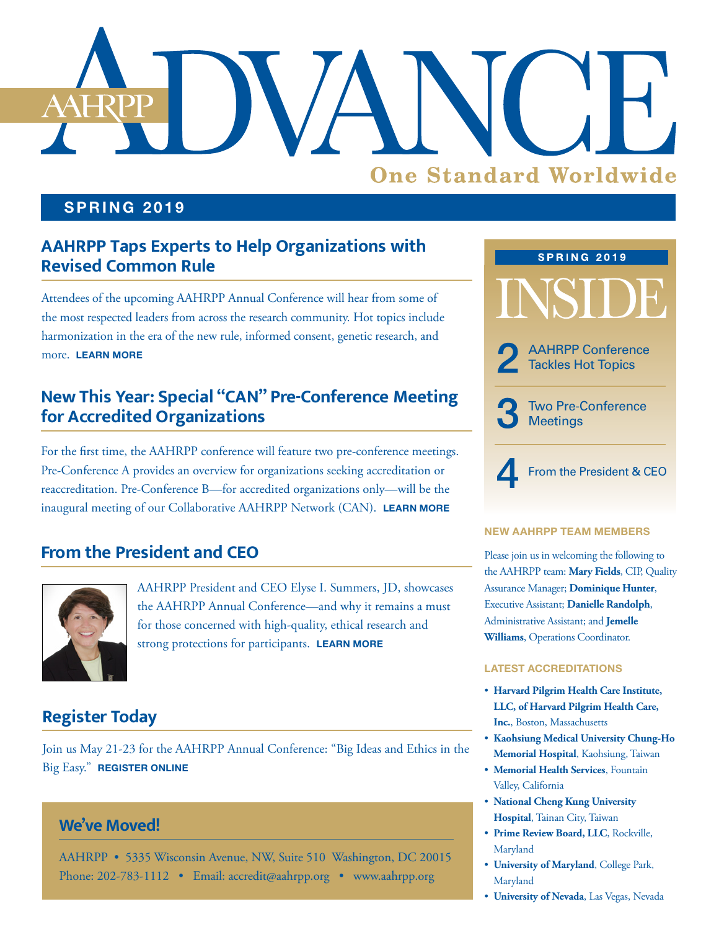

#### **SPRING 2019**

## **AAHRPP Taps Experts to Help Organizations with Revised Common Rule**

Attendees of the upcoming AAHRPP Annual Conference will hear from some of the most respected leaders from across the research community. Hot topics include harmonization in the era of the new rule, informed consent, genetic research, and more. **[LEARN MORE](#page-1-0)**

## **New This Year: Special "CAN" Pre-Conference Meeting for Accredited Organizations**

For the first time, the AAHRPP conference will feature two pre-conference meetings. Pre-Conference A provides an overview for organizations seeking accreditation or reaccreditation. Pre-Conference B—for accredited organizations only—will be the inaugural meeting of our Collaborative AAHRPP Network (CAN). **[LEARN MORE](#page-2-0)**

### **From the President and CEO**



AAHRPP President and CEO Elyse I. Summers, JD, showcases the AAHRPP Annual Conference—and why it remains a must for those concerned with high-quality, ethical research and strong protections for participants. **[LEARN MORE](#page-3-0)**

## **Register Today**

Join us May 21-23 for the AAHRPP Annual Conference: "Big Ideas and Ethics in the Big Easy." **[REGISTER ONLINE](https://cvent.me/aOAMD)**

#### **We've Moved!**

AAHRPP • 5335 Wisconsin Avenue, NW, Suite 510 Washington, DC 20015 Phone: 202-783-1112 • Email: [accredit@aahrpp.org](mailto:accredit%40aahrpp.org?subject=) • [www.aahrpp.org](http://www.aahrpp.org)



#### **NEW AAHRPP TEAM MEMBERS**

Please join us in welcoming the following to the AAHRPP team: **Mary Fields**, CIP, Quality Assurance Manager; **Dominique Hunter**, Executive Assistant; **Danielle Randolph**, Administrative Assistant; and **Jemelle Williams**, Operations Coordinator.

#### **LATEST ACCREDITATIONS**

- **Harvard Pilgrim Health Care Institute, LLC, of Harvard Pilgrim Health Care, Inc.**, Boston, Massachusetts
- **Kaohsiung Medical University Chung-Ho Memorial Hospital**, Kaohsiung, Taiwan
- **Memorial Health Services**, Fountain Valley, California
- **National Cheng Kung University Hospital**, Tainan City, Taiwan
- **Prime Review Board, LLC**, Rockville, Maryland
- **University of Maryland**, College Park, Maryland
- **University of Nevada**, Las Vegas, Nevada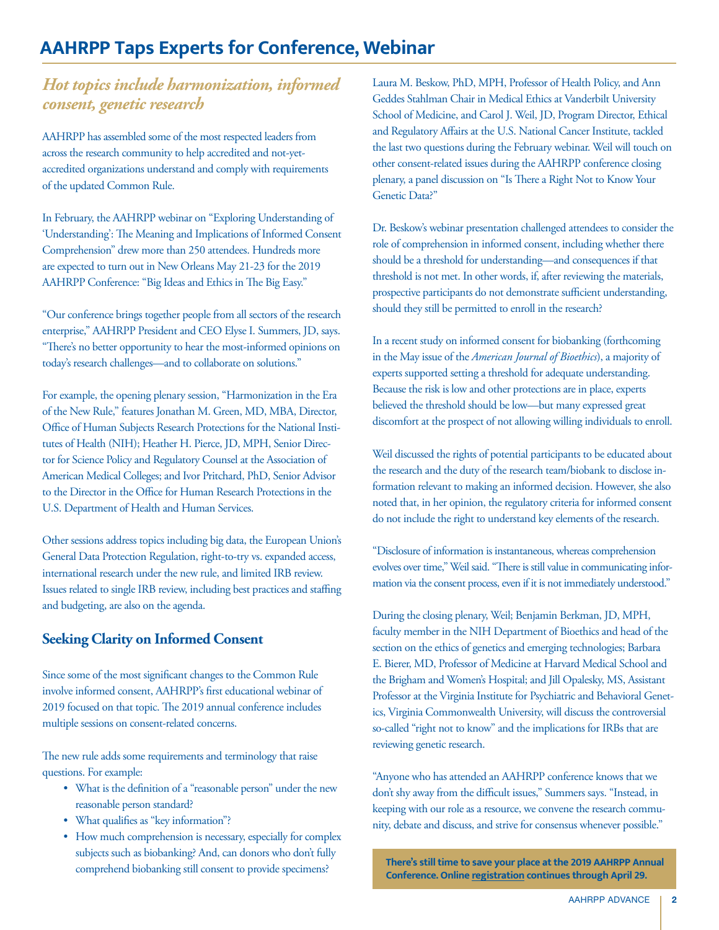## <span id="page-1-0"></span>**AAHRPP Taps Experts for Conference, Webinar**

#### *Hot topics include harmonization, informed consent, genetic research*

AAHRPP has assembled some of the most respected leaders from across the research community to help accredited and not-yetaccredited organizations understand and comply with requirements of the updated Common Rule.

In February, the AAHRPP webinar on "Exploring Understanding of 'Understanding': The Meaning and Implications of Informed Consent Comprehension" drew more than 250 attendees. Hundreds more are expected to turn out in New Orleans May 21-23 for the 2019 AAHRPP Conference: "Big Ideas and Ethics in The Big Easy."

"Our conference brings together people from all sectors of the research enterprise," AAHRPP President and CEO Elyse I. Summers, JD, says. "There's no better opportunity to hear the most-informed opinions on today's research challenges—and to collaborate on solutions."

For example, the opening plenary session, "Harmonization in the Era of the New Rule," features Jonathan M. Green, MD, MBA, Director, Office of Human Subjects Research Protections for the National Institutes of Health (NIH); Heather H. Pierce, JD, MPH, Senior Director for Science Policy and Regulatory Counsel at the Association of American Medical Colleges; and Ivor Pritchard, PhD, Senior Advisor to the Director in the Office for Human Research Protections in the U.S. Department of Health and Human Services.

Other sessions address topics including big data, the European Union's General Data Protection Regulation, right-to-try vs. expanded access, international research under the new rule, and limited IRB review. Issues related to single IRB review, including best practices and staffing and budgeting, are also on the agenda.

#### **Seeking Clarity on Informed Consent**

Since some of the most significant changes to the Common Rule involve informed consent, AAHRPP's first educational webinar of 2019 focused on that topic. The 2019 annual conference includes multiple sessions on consent-related concerns.

The new rule adds some requirements and terminology that raise questions. For example:

- What is the definition of a "reasonable person" under the new reasonable person standard?
- What qualifies as "key information"?
- How much comprehension is necessary, especially for complex subjects such as biobanking? And, can donors who don't fully comprehend biobanking still consent to provide specimens?

Laura M. Beskow, PhD, MPH, Professor of Health Policy, and Ann Geddes Stahlman Chair in Medical Ethics at Vanderbilt University School of Medicine, and Carol J. Weil, JD, Program Director, Ethical and Regulatory Affairs at the U.S. National Cancer Institute, tackled the last two questions during the February webinar. Weil will touch on other consent-related issues during the AAHRPP conference closing plenary, a panel discussion on "Is There a Right Not to Know Your Genetic Data?"

Dr. Beskow's webinar presentation challenged attendees to consider the role of comprehension in informed consent, including whether there should be a threshold for understanding—and consequences if that threshold is not met. In other words, if, after reviewing the materials, prospective participants do not demonstrate sufficient understanding, should they still be permitted to enroll in the research?

In a recent study on informed consent for biobanking (forthcoming in the May issue of the *American Journal of Bioethics*), a majority of experts supported setting a threshold for adequate understanding. Because the risk is low and other protections are in place, experts believed the threshold should be low—but many expressed great discomfort at the prospect of not allowing willing individuals to enroll.

Weil discussed the rights of potential participants to be educated about the research and the duty of the research team/biobank to disclose information relevant to making an informed decision. However, she also noted that, in her opinion, the regulatory criteria for informed consent do not include the right to understand key elements of the research.

"Disclosure of information is instantaneous, whereas comprehension evolves over time," Weil said. "There is still value in communicating information via the consent process, even if it is not immediately understood."

During the closing plenary, Weil; Benjamin Berkman, JD, MPH, faculty member in the NIH Department of Bioethics and head of the section on the ethics of genetics and emerging technologies; Barbara E. Bierer, MD, Professor of Medicine at Harvard Medical School and the Brigham and Women's Hospital; and Jill Opalesky, MS, Assistant Professor at the Virginia Institute for Psychiatric and Behavioral Genetics, Virginia Commonwealth University, will discuss the controversial so-called "right not to know" and the implications for IRBs that are reviewing genetic research.

"Anyone who has attended an AAHRPP conference knows that we don't shy away from the difficult issues," Summers says. "Instead, in keeping with our role as a resource, we convene the research community, debate and discuss, and strive for consensus whenever possible."

**There's still time to save your place at the 2019 AAHRPP Annual Conference. Online [registration](https://cvent.me/aOAMD) continues through April 29.**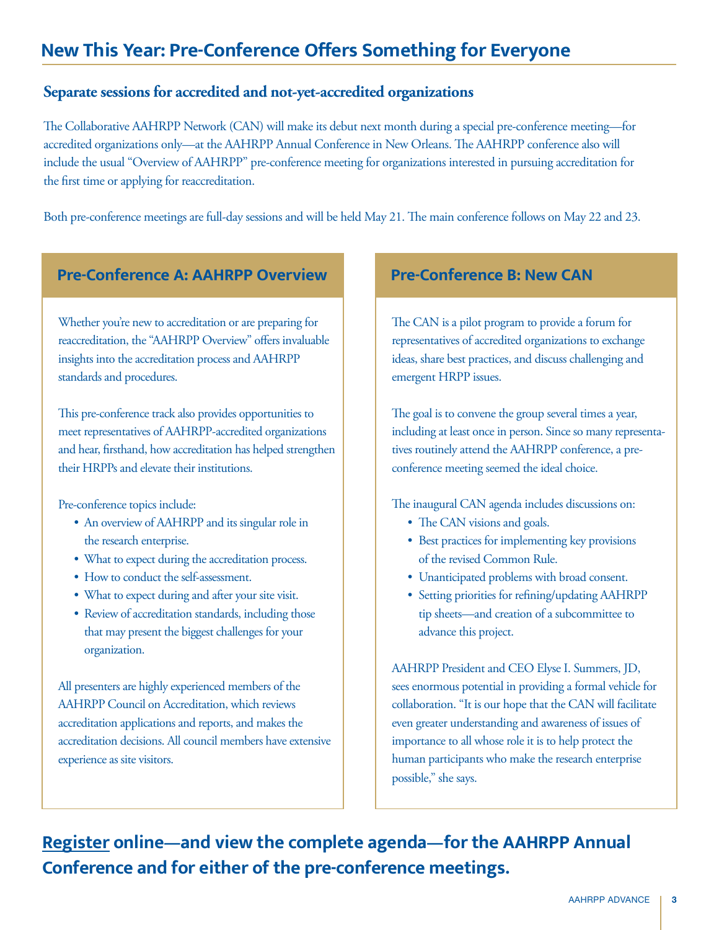## <span id="page-2-0"></span>**New This Year: Pre-Conference Offers Something for Everyone**

#### **Separate sessions for accredited and not-yet-accredited organizations**

The Collaborative AAHRPP Network (CAN) will make its debut next month during a special pre-conference meeting—for accredited organizations only—at the AAHRPP Annual Conference in New Orleans. The AAHRPP conference also will include the usual "Overview of AAHRPP" pre-conference meeting for organizations interested in pursuing accreditation for the first time or applying for reaccreditation.

Both pre-conference meetings are full-day sessions and will be held May 21. The main conference follows on May 22 and 23.

#### **Pre-Conference A: AAHRPP Overview Pre-Conference B: New CAN**

Whether you're new to accreditation or are preparing for reaccreditation, the "AAHRPP Overview" offers invaluable insights into the accreditation process and AAHRPP standards and procedures.

This pre-conference track also provides opportunities to meet representatives of AAHRPP-accredited organizations and hear, firsthand, how accreditation has helped strengthen their HRPPs and elevate their institutions.

Pre-conference topics include:

- An overview of AAHRPP and its singular role in the research enterprise.
- What to expect during the accreditation process.
- How to conduct the self-assessment.
- What to expect during and after your site visit.
- Review of accreditation standards, including those that may present the biggest challenges for your organization.

All presenters are highly experienced members of the AAHRPP Council on Accreditation, which reviews accreditation applications and reports, and makes the accreditation decisions. All council members have extensive experience as site visitors.

The CAN is a pilot program to provide a forum for representatives of accredited organizations to exchange ideas, share best practices, and discuss challenging and emergent HRPP issues.

The goal is to convene the group several times a year, including at least once in person. Since so many representatives routinely attend the AAHRPP conference, a preconference meeting seemed the ideal choice.

The inaugural CAN agenda includes discussions on:

- The CAN visions and goals.
- Best practices for implementing key provisions of the revised Common Rule.
- Unanticipated problems with broad consent.
- Setting priorities for refining/updating AAHRPP tip sheets—and creation of a subcommittee to advance this project.

AAHRPP President and CEO Elyse I. Summers, JD, sees enormous potential in providing a formal vehicle for collaboration. "It is our hope that the CAN will facilitate even greater understanding and awareness of issues of importance to all whose role it is to help protect the human participants who make the research enterprise possible," she says.

**[Register](https://cvent.me/aOAMD) online—and view the complete agenda—for the AAHRPP Annual Conference and for either of the pre-conference meetings.**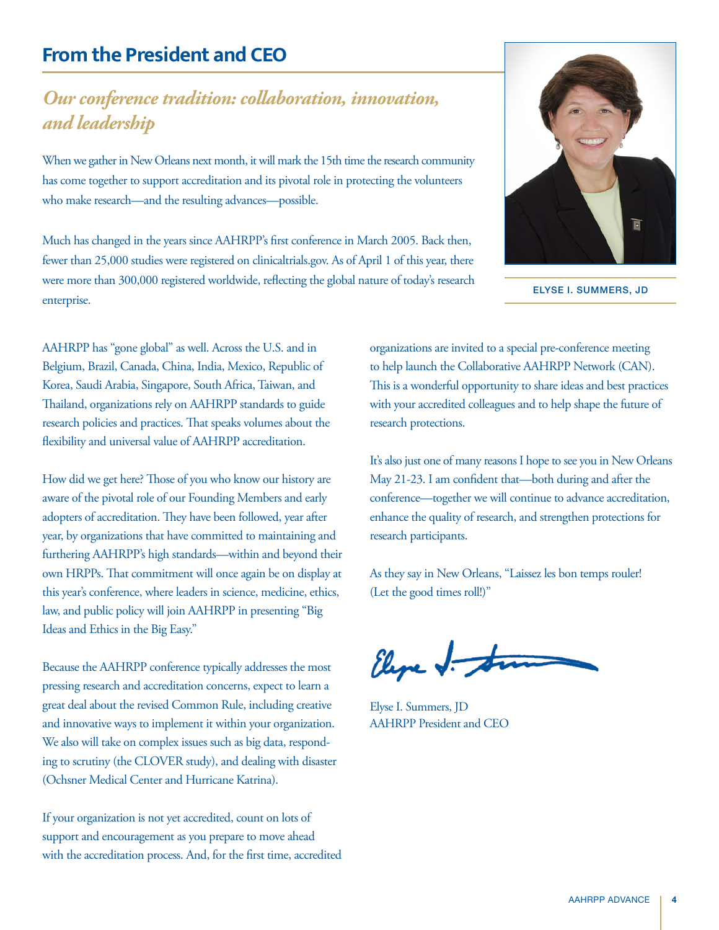## <span id="page-3-0"></span>**From the President and CEO**

## *Our conference tradition: collaboration, innovation, and leadership*

When we gather in New Orleans next month, it will mark the 15th time the research community has come together to support accreditation and its pivotal role in protecting the volunteers who make research—and the resulting advances—possible.

Much has changed in the years since AAHRPP's first conference in March 2005. Back then, fewer than 25,000 studies were registered on clinicaltrials.gov. As of April 1 of this year, there were more than 300,000 registered worldwide, reflecting the global nature of today's research enterprise.



ELYSE I. SUMMERS, JD

AAHRPP has "gone global" as well. Across the U.S. and in Belgium, Brazil, Canada, China, India, Mexico, Republic of Korea, Saudi Arabia, Singapore, South Africa, Taiwan, and Thailand, organizations rely on AAHRPP standards to guide research policies and practices. That speaks volumes about the flexibility and universal value of AAHRPP accreditation.

How did we get here? Those of you who know our history are aware of the pivotal role of our Founding Members and early adopters of accreditation. They have been followed, year after year, by organizations that have committed to maintaining and furthering AAHRPP's high standards—within and beyond their own HRPPs. That commitment will once again be on display at this year's conference, where leaders in science, medicine, ethics, law, and public policy will join AAHRPP in presenting "Big Ideas and Ethics in the Big Easy."

Because the AAHRPP conference typically addresses the most pressing research and accreditation concerns, expect to learn a great deal about the revised Common Rule, including creative and innovative ways to implement it within your organization. We also will take on complex issues such as big data, responding to scrutiny (the CLOVER study), and dealing with disaster (Ochsner Medical Center and Hurricane Katrina).

If your organization is not yet accredited, count on lots of support and encouragement as you prepare to move ahead with the accreditation process. And, for the first time, accredited organizations are invited to a special pre-conference meeting to help launch the Collaborative AAHRPP Network (CAN). This is a wonderful opportunity to share ideas and best practices with your accredited colleagues and to help shape the future of research protections.

It's also just one of many reasons I hope to see you in New Orleans May 21-23. I am confident that—both during and after the conference—together we will continue to advance accreditation, enhance the quality of research, and strengthen protections for research participants.

As they say in New Orleans, "Laissez les bon temps rouler! (Let the good times roll!)"

Elepe J.

Elyse I. Summers, JD AAHRPP President and CEO